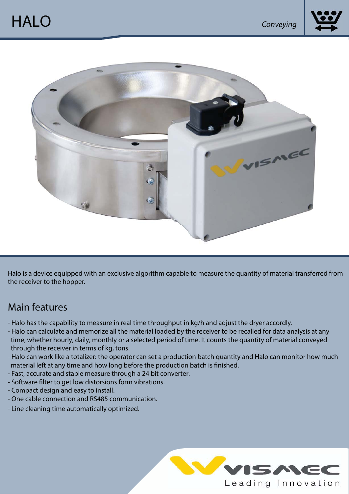



Halo is a device equipped with an exclusive algorithm capable to measure the quantity of material transferred from the receiver to the hopper.

## Main features

- Halo has the capability to measure in real time throughput in kg/h and adjust the dryer accordly.
- Halo can calculate and memorize all the material loaded by the receiver to be recalled for data analysis at any time, whether hourly, daily, monthIy or a selected period of time. It counts the quantity of material conveyed through the receiver in terms of kg, tons.
- Halo can work like a totalizer: the operator can set a production batch quantity and Halo can monitor how much material left at any time and how long before the production batch is finished.
- Fast, accurate and stable measure through a 24 bit converter.
- Software filter to get low distorsions form vibrations.
- Compact design and easy to install.
- One cable connection and RS485 communication.
- Line cleaning time automatically optimized.